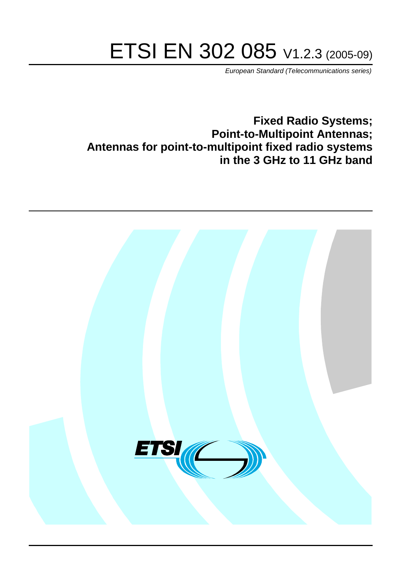# ETSI EN 302 085 V1.2.3 (2005-09)

European Standard (Telecommunications series)

**Fixed Radio Systems; Point-to-Multipoint Antennas; Antennas for point-to-multipoint fixed radio systems in the 3 GHz to 11 GHz band**

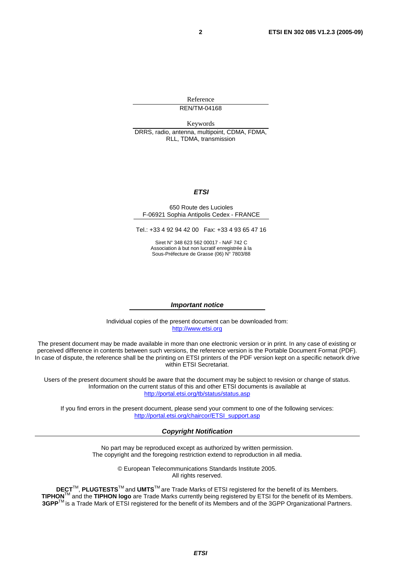Reference REN/TM-04168

Keywords DRRS, radio, antenna, multipoint, CDMA, FDMA, RLL, TDMA, transmission

#### **ETSI**

#### 650 Route des Lucioles F-06921 Sophia Antipolis Cedex - FRANCE

Tel.: +33 4 92 94 42 00 Fax: +33 4 93 65 47 16

Siret N° 348 623 562 00017 - NAF 742 C Association à but non lucratif enregistrée à la Sous-Préfecture de Grasse (06) N° 7803/88

#### **Important notice**

Individual copies of the present document can be downloaded from: [http://www.etsi.org](http://www.etsi.org/)

The present document may be made available in more than one electronic version or in print. In any case of existing or perceived difference in contents between such versions, the reference version is the Portable Document Format (PDF). In case of dispute, the reference shall be the printing on ETSI printers of the PDF version kept on a specific network drive within ETSI Secretariat.

Users of the present document should be aware that the document may be subject to revision or change of status. Information on the current status of this and other ETSI documents is available at <http://portal.etsi.org/tb/status/status.asp>

If you find errors in the present document, please send your comment to one of the following services: [http://portal.etsi.org/chaircor/ETSI\\_support.asp](http://portal.etsi.org/chaircor/ETSI_support.asp)

#### **Copyright Notification**

No part may be reproduced except as authorized by written permission. The copyright and the foregoing restriction extend to reproduction in all media.

> © European Telecommunications Standards Institute 2005. All rights reserved.

**DECT**TM, **PLUGTESTS**TM and **UMTS**TM are Trade Marks of ETSI registered for the benefit of its Members. **TIPHON**TM and the **TIPHON logo** are Trade Marks currently being registered by ETSI for the benefit of its Members. **3GPP**TM is a Trade Mark of ETSI registered for the benefit of its Members and of the 3GPP Organizational Partners.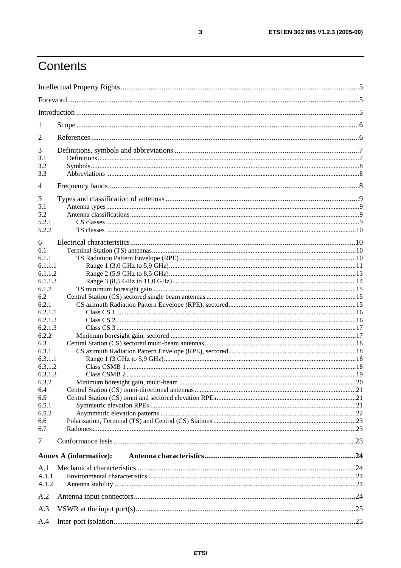# Contents

| 1                |                               |  |  |
|------------------|-------------------------------|--|--|
| $\overline{2}$   |                               |  |  |
| 3                |                               |  |  |
| 3.1              |                               |  |  |
| 3.2<br>3.3       |                               |  |  |
| $\overline{4}$   |                               |  |  |
| 5                |                               |  |  |
| 5.1              |                               |  |  |
| 5.2              |                               |  |  |
| 5.2.1            |                               |  |  |
| 5.2.2            |                               |  |  |
| 6                |                               |  |  |
| 6.1              |                               |  |  |
| 6.1.1            |                               |  |  |
| 6.1.1.1          |                               |  |  |
| 6.1.1.2          |                               |  |  |
| 6.1.1.3<br>6.1.2 |                               |  |  |
| 6.2              |                               |  |  |
| 6.2.1            |                               |  |  |
| 6.2.1.1          |                               |  |  |
| 6.2.1.2          |                               |  |  |
| 6.2.1.3          |                               |  |  |
| 6.2.2            |                               |  |  |
| 6.3              |                               |  |  |
| 6.3.1            |                               |  |  |
| 6.3.1.1          |                               |  |  |
| 6.3.1.2          |                               |  |  |
| 6.3.1.3<br>6.3.2 |                               |  |  |
| 6.4              |                               |  |  |
| 6.5              |                               |  |  |
| 6.5.1            |                               |  |  |
| 6.5.2            |                               |  |  |
| 6.6              |                               |  |  |
| 6.7              |                               |  |  |
| $\overline{7}$   |                               |  |  |
|                  | <b>Annex A (informative):</b> |  |  |
| A.1              |                               |  |  |
| A.1.1            |                               |  |  |
| A.1.2            |                               |  |  |
| A.2              |                               |  |  |
| A.3              |                               |  |  |
| A.4              |                               |  |  |

 $\mathbf{3}$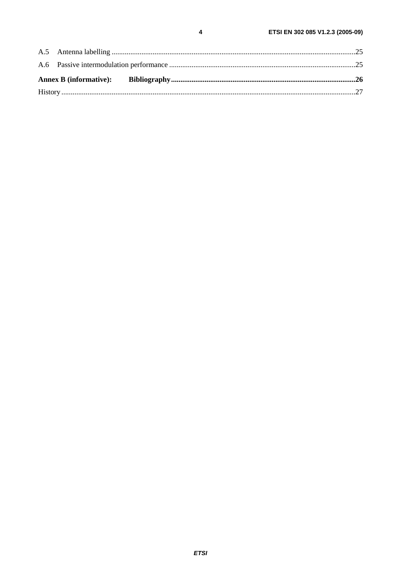$\overline{\mathbf{4}}$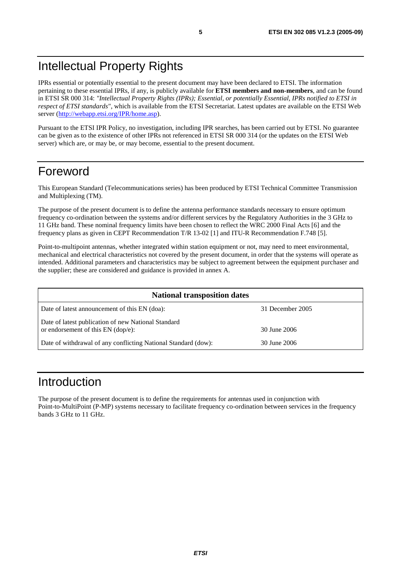# Intellectual Property Rights

IPRs essential or potentially essential to the present document may have been declared to ETSI. The information pertaining to these essential IPRs, if any, is publicly available for **ETSI members and non-members**, and can be found in ETSI SR 000 314: *"Intellectual Property Rights (IPRs); Essential, or potentially Essential, IPRs notified to ETSI in respect of ETSI standards"*, which is available from the ETSI Secretariat. Latest updates are available on the ETSI Web server ([http://webapp.etsi.org/IPR/home.asp\)](http://webapp.etsi.org/IPR/home.asp).

Pursuant to the ETSI IPR Policy, no investigation, including IPR searches, has been carried out by ETSI. No guarantee can be given as to the existence of other IPRs not referenced in ETSI SR 000 314 (or the updates on the ETSI Web server) which are, or may be, or may become, essential to the present document.

# Foreword

This European Standard (Telecommunications series) has been produced by ETSI Technical Committee Transmission and Multiplexing (TM).

The purpose of the present document is to define the antenna performance standards necessary to ensure optimum frequency co-ordination between the systems and/or different services by the Regulatory Authorities in the 3 GHz to 11 GHz band. These nominal frequency limits have been chosen to reflect the WRC 2000 Final Acts [6] and the frequency plans as given in CEPT Recommendation T/R 13-02 [1] and ITU-R Recommendation F.748 [5].

Point-to-multipoint antennas, whether integrated within station equipment or not, may need to meet environmental, mechanical and electrical characteristics not covered by the present document, in order that the systems will operate as intended. Additional parameters and characteristics may be subject to agreement between the equipment purchaser and the supplier; these are considered and guidance is provided in annex A.

| <b>National transposition dates</b>                                                         |                  |  |
|---------------------------------------------------------------------------------------------|------------------|--|
| Date of latest announcement of this EN (doa):                                               | 31 December 2005 |  |
| Date of latest publication of new National Standard<br>or endorsement of this $EN$ (dop/e): | 30 June 2006     |  |
| Date of withdrawal of any conflicting National Standard (dow):                              | 30 June 2006     |  |

# Introduction

The purpose of the present document is to define the requirements for antennas used in conjunction with Point-to-MultiPoint (P-MP) systems necessary to facilitate frequency co-ordination between services in the frequency bands 3 GHz to 11 GHz.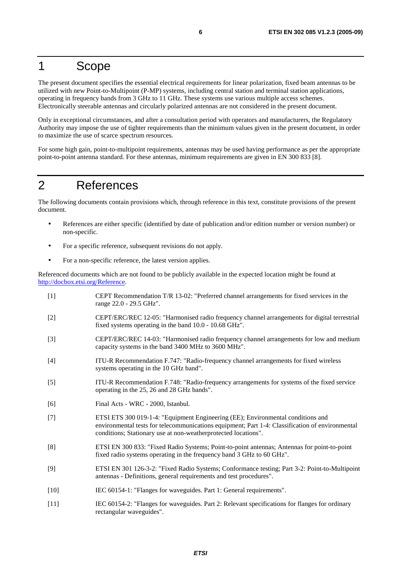# 1 Scope

The present document specifies the essential electrical requirements for linear polarization, fixed beam antennas to be utilized with new Point-to-Multipoint (P-MP) systems, including central station and terminal station applications, operating in frequency bands from 3 GHz to 11 GHz. These systems use various multiple access schemes. Electronically steerable antennas and circularly polarized antennas are not considered in the present document.

Only in exceptional circumstances, and after a consultation period with operators and manufacturers, the Regulatory Authority may impose the use of tighter requirements than the minimum values given in the present document, in order to maximize the use of scarce spectrum resources.

For some high gain, point-to-multipoint requirements, antennas may be used having performance as per the appropriate point-to-point antenna standard. For these antennas, minimum requirements are given in EN 300 833 [8].

# 2 References

The following documents contain provisions which, through reference in this text, constitute provisions of the present document.

- References are either specific (identified by date of publication and/or edition number or version number) or non-specific.
- For a specific reference, subsequent revisions do not apply.
- For a non-specific reference, the latest version applies.

Referenced documents which are not found to be publicly available in the expected location might be found at <http://docbox.etsi.org/Reference>.

[1] CEPT Recommendation T/R 13-02: "Preferred channel arrangements for fixed services in the range 22.0 - 29.5 GHz". [2] CEPT/ERC/REC 12-05: "Harmonised radio frequency channel arrangements for digital terrestrial fixed systems operating in the band 10.0 - 10.68 GHz". [3] CEPT/ERC/REC 14-03: "Harmonised radio frequency channel arrangements for low and medium capacity systems in the band 3400 MHz to 3600 MHz". [4] ITU-R Recommendation F.747: "Radio-frequency channel arrangements for fixed wireless systems operating in the 10 GHz band". [5] ITU-R Recommendation F.748: "Radio-frequency arrangements for systems of the fixed service operating in the 25, 26 and 28 GHz bands". [6] Final Acts - WRC - 2000, Istanbul. [7] ETSI ETS 300 019-1-4: "Equipment Engineering (EE); Environmental conditions and environmental tests for telecommunications equipment; Part 1-4: Classification of environmental conditions; Stationary use at non-weatherprotected locations". [8] ETSI EN 300 833: "Fixed Radio Systems; Point-to-point antennas; Antennas for point-to-point fixed radio systems operating in the frequency band 3 GHz to 60 GHz". [9] ETSI EN 301 126-3-2: "Fixed Radio Systems; Conformance testing; Part 3-2: Point-to-Multipoint antennas - Definitions, general requirements and test procedures". [10] IEC 60154-1: "Flanges for waveguides. Part 1: General requirements". [11] IEC 60154-2: "Flanges for waveguides. Part 2: Relevant specifications for flanges for ordinary rectangular waveguides".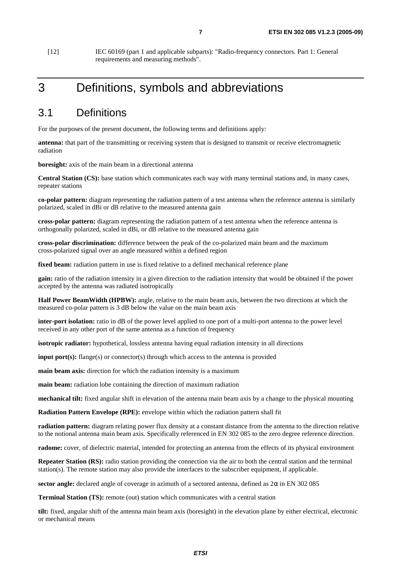[12] IEC 60169 (part 1 and applicable subparts): "Radio-frequency connectors. Part 1: General requirements and measuring methods".

# 3 Definitions, symbols and abbreviations

### 3.1 Definitions

For the purposes of the present document, the following terms and definitions apply:

**antenna:** that part of the transmitting or receiving system that is designed to transmit or receive electromagnetic radiation

**boresight:** axis of the main beam in a directional antenna

**Central Station (CS):** base station which communicates each way with many terminal stations and, in many cases, repeater stations

**co-polar pattern:** diagram representing the radiation pattern of a test antenna when the reference antenna is similarly polarized, scaled in dBi or dB relative to the measured antenna gain

**cross-polar pattern:** diagram representing the radiation pattern of a test antenna when the reference antenna is orthogonally polarized, scaled in dBi, or dB relative to the measured antenna gain

**cross-polar discrimination:** difference between the peak of the co-polarized main beam and the maximum cross-polarized signal over an angle measured within a defined region

fixed beam: radiation pattern in use is fixed relative to a defined mechanical reference plane

**gain:** ratio of the radiation intensity in a given direction to the radiation intensity that would be obtained if the power accepted by the antenna was radiated isotropically

**Half Power BeamWidth (HPBW):** angle, relative to the main beam axis, between the two directions at which the measured co-polar pattern is 3 dB below the value on the main beam axis

**inter-port isolation:** ratio in dB of the power level applied to one port of a multi-port antenna to the power level received in any other port of the same antenna as a function of frequency

**isotropic radiator:** hypothetical, lossless antenna having equal radiation intensity in all directions

**input port(s):** flange(s) or connector(s) through which access to the antenna is provided

**main beam axis:** direction for which the radiation intensity is a maximum

**main beam:** radiation lobe containing the direction of maximum radiation

**mechanical tilt:** fixed angular shift in elevation of the antenna main beam axis by a change to the physical mounting

**Radiation Pattern Envelope (RPE):** envelope within which the radiation pattern shall fit

**radiation pattern:** diagram relating power flux density at a constant distance from the antenna to the direction relative to the notional antenna main beam axis. Specifically referenced in EN 302 085 to the zero degree reference direction.

**radome:** cover, of dielectric material, intended for protecting an antenna from the effects of its physical environment

**Repeater Station (RS):** radio station providing the connection via the air to both the central station and the terminal station(s). The remote station may also provide the interfaces to the subscriber equipment, if applicable.

**sector angle:** declared angle of coverage in azimuth of a sectored antenna, defined as  $2\alpha$  in EN 302 085

**Terminal Station (TS):** remote (out) station which communicates with a central station

**tilt:** fixed, angular shift of the antenna main beam axis (boresight) in the elevation plane by either electrical, electronic or mechanical means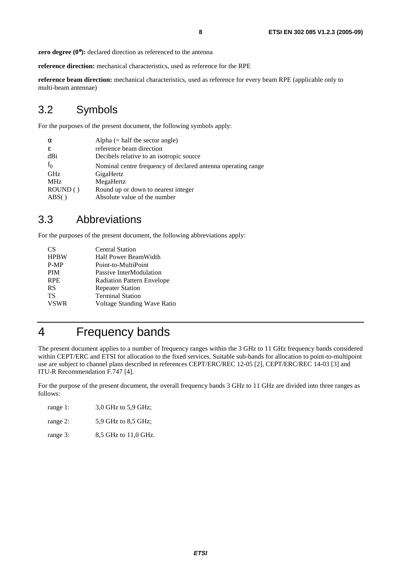**zero degree (0°):** declared direction as referenced to the antenna

**reference direction:** mechanical characteristics, used as reference for the RPE

**reference beam direction:** mechanical characteristics, used as reference for every beam RPE (applicable only to multi-beam antennae)

# 3.2 Symbols

For the purposes of the present document, the following symbols apply:

| $\alpha$       | Alpha $(=$ half the sector angle)                            |
|----------------|--------------------------------------------------------------|
| ε              | reference beam direction                                     |
| dBi            | Decibels relative to an isotropic source                     |
| f <sub>0</sub> | Nominal centre frequency of declared antenna operating range |
| <b>GHz</b>     | GigaHertz                                                    |
| <b>MHz</b>     | MegaHertz                                                    |
| ROUND()        | Round up or down to nearest integer                          |
| $\text{ABS}()$ | Absolute value of the number                                 |
|                |                                                              |

# 3.3 Abbreviations

For the purposes of the present document, the following abbreviations apply:

| CS          | <b>Central Station</b>            |
|-------------|-----------------------------------|
| <b>HPBW</b> | Half Power BeamWidth              |
| $P-MP$      | Point-to-MultiPoint               |
| <b>PIM</b>  | Passive InterModulation           |
| <b>RPE</b>  | <b>Radiation Pattern Envelope</b> |
| <b>RS</b>   | <b>Repeater Station</b>           |
| TS          | <b>Terminal Station</b>           |
| <b>VSWR</b> | Voltage Standing Wave Ratio       |
|             |                                   |

# 4 Frequency bands

The present document applies to a number of frequency ranges within the 3 GHz to 11 GHz frequency bands considered within CEPT/ERC and ETSI for allocation to the fixed services. Suitable sub-bands for allocation to point-to-multipoint use are subject to channel plans described in references CEPT/ERC/REC 12-05 [2], CEPT/ERC/REC 14-03 [3] and ITU-R Recommendation F.747 [4].

For the purpose of the present document, the overall frequency bands 3 GHz to 11 GHz are divided into three ranges as follows:

| range 1: | 3.0 GHz to 5.9 GHz;  |
|----------|----------------------|
| range 2: | 5.9 GHz to 8.5 GHz;  |
| range 3: | 8,5 GHz to 11,0 GHz. |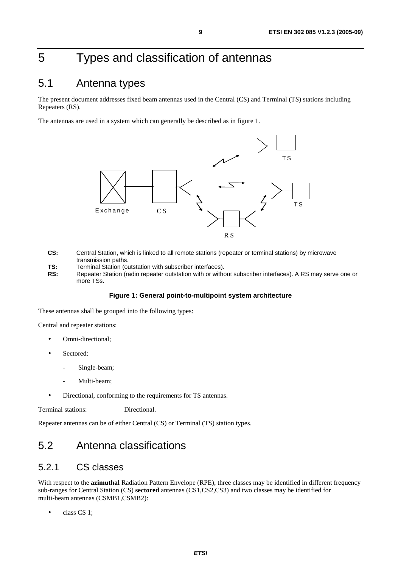# 5 Types and classification of antennas

# 5.1 Antenna types

The present document addresses fixed beam antennas used in the Central (CS) and Terminal (TS) stations including Repeaters (RS).

The antennas are used in a system which can generally be described as in figure 1.



- **CS:** Central Station, which is linked to all remote stations (repeater or terminal stations) by microwave transmission paths.
- **TS:** Terminal Station (outstation with subscriber interfaces).
- **RS:** Repeater Station (radio repeater outstation with or without subscriber interfaces). A RS may serve one or more TSs.

#### **Figure 1: General point-to-multipoint system architecture**

These antennas shall be grouped into the following types:

Central and repeater stations:

- Omni-directional;
- Sectored:
	- Single-beam;
	- Multi-beam:
- Directional, conforming to the requirements for TS antennas.

Terminal stations: Directional.

Repeater antennas can be of either Central (CS) or Terminal (TS) station types.

# 5.2 Antenna classifications

### 5.2.1 CS classes

With respect to the **azimuthal** Radiation Pattern Envelope (RPE), three classes may be identified in different frequency sub-ranges for Central Station (CS) **sectored** antennas (CS1,CS2,CS3) and two classes may be identified for multi-beam antennas (CSMB1,CSMB2):

class CS 1;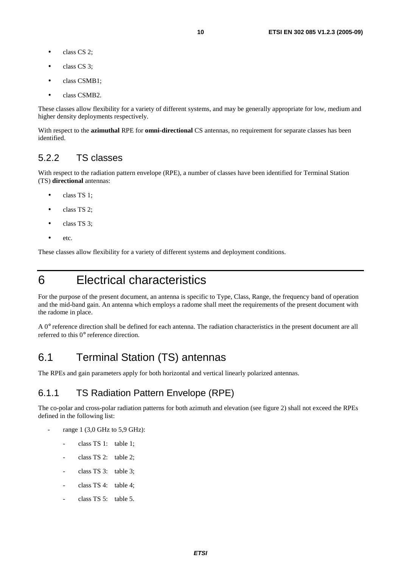- class CS 2;
- class CS 3;
- class CSMB1;
- class CSMB<sub>2</sub>.

These classes allow flexibility for a variety of different systems, and may be generally appropriate for low, medium and higher density deployments respectively.

With respect to the **azimuthal** RPE for **omni-directional** CS antennas, no requirement for separate classes has been identified.

### 5.2.2 TS classes

With respect to the radiation pattern envelope (RPE), a number of classes have been identified for Terminal Station (TS) **directional** antennas:

- class TS 1;
- class TS 2;
- class TS 3:
- etc.

These classes allow flexibility for a variety of different systems and deployment conditions.

# 6 Electrical characteristics

For the purpose of the present document, an antenna is specific to Type, Class, Range, the frequency band of operation and the mid-band gain. An antenna which employs a radome shall meet the requirements of the present document with the radome in place.

A 0° reference direction shall be defined for each antenna. The radiation characteristics in the present document are all referred to this 0° reference direction.

# 6.1 Terminal Station (TS) antennas

The RPEs and gain parameters apply for both horizontal and vertical linearly polarized antennas.

### 6.1.1 TS Radiation Pattern Envelope (RPE)

The co-polar and cross-polar radiation patterns for both azimuth and elevation (see figure 2) shall not exceed the RPEs defined in the following list:

- range 1 (3,0 GHz to 5,9 GHz):
	- class TS 1: table 1:
	- class TS 2: table 2;
	- class TS 3: table 3;
	- class  $TS 4$ : table 4:
	- class TS  $5$ : table 5.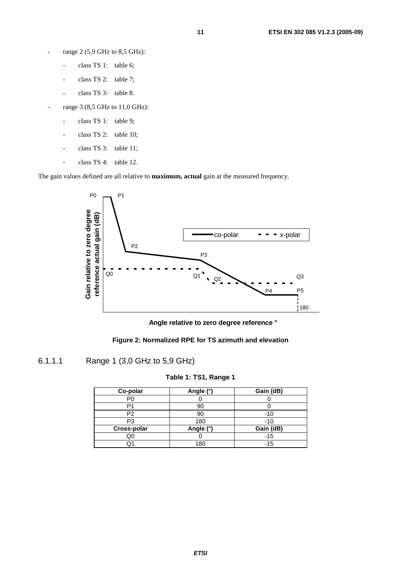- range 2 (5,9 GHz to 8,5 GHz):
	- class TS 1: table 6;
	- class TS 2: table 7;
	- class TS 3: table 8.
- range 3 (8,5 GHz to 11,0 GHz):
	- class TS 1: table 9;
	- class TS 2: table 10;
	- class TS 3: table 11;
	- class TS 4: table 12.

The gain values defined are all relative to **maximum, actual** gain at the measured frequency.



**Angle relative to zero degree reference °**



### 6.1.1.1 Range 1 (3,0 GHz to 5,9 GHz)

#### **Table 1: TS1, Range 1**

| Co-polar       | Angle (°) | Gain (dB) |
|----------------|-----------|-----------|
| P0             |           |           |
|                |           |           |
| P <sub>2</sub> | 90        | $-10$     |
| P3             | 180       | $-10$     |
| Cross-polar    | Angle (°) | Gain (dB) |
| QC             |           | $-15$     |
|                | 180       | $-15$     |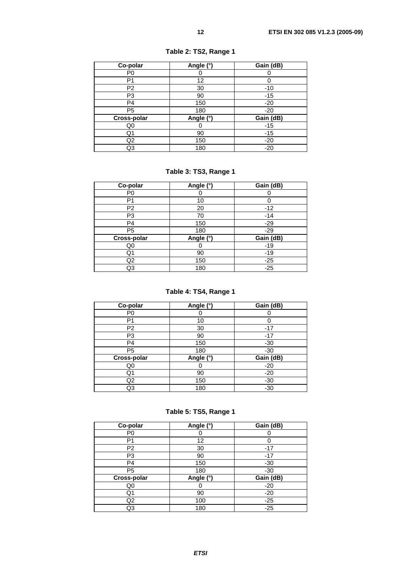| Co-polar       | Angle (°) | Gain (dB) |
|----------------|-----------|-----------|
| P <sub>0</sub> |           |           |
| P1             | 12        |           |
| P <sub>2</sub> | 30        | $-10$     |
| P <sub>3</sub> | 90        | $-15$     |
| P <sub>4</sub> | 150       | $-20$     |
| P <sub>5</sub> | 180       | $-20$     |
| Cross-polar    | Angle (°) | Gain (dB) |
| Q0             |           | $-15$     |
| Q <sub>1</sub> | 90        | $-15$     |
| Q2             | 150       | $-20$     |
| Q3             | 180       | $-20$     |

**Table 2: TS2, Range 1** 

### **Table 3: TS3, Range 1**

| Co-polar       | Angle (°) | Gain (dB) |
|----------------|-----------|-----------|
| P <sub>0</sub> |           |           |
| P <sub>1</sub> | 10        |           |
| P <sub>2</sub> | 20        | $-12$     |
| P <sub>3</sub> | 70        | $-14$     |
| P <sub>4</sub> | 150       | $-29$     |
| P <sub>5</sub> | 180       | $-29$     |
| Cross-polar    | Angle (°) | Gain (dB) |
| Q0             |           | $-19$     |
| Q1             | 90        | $-19$     |
| Q <sub>2</sub> | 150       | $-25$     |
| Q3             | 180       | $-25$     |

### **Table 4: TS4, Range 1**

| Co-polar       | Angle (°) | Gain (dB) |
|----------------|-----------|-----------|
| P <sub>0</sub> |           |           |
| P1             | 10        |           |
| P <sub>2</sub> | 30        | $-17$     |
| P3             | 90        | $-17$     |
| P <sub>4</sub> | 150       | $-30$     |
| P <sub>5</sub> | 180       | $-30$     |
| Cross-polar    | Angle (°) | Gain (dB) |
| Q0             |           | $-20$     |
| Q1             | 90        | $-20$     |
| Q <sub>2</sub> | 150       | $-30$     |
| Q3             | 180       | $-30$     |

**Table 5: TS5, Range 1** 

| Co-polar       | Angle (°) | Gain (dB) |
|----------------|-----------|-----------|
| P <sub>0</sub> |           |           |
| P <sub>1</sub> | 12        |           |
| P <sub>2</sub> | 30        | $-17$     |
| P3             | 90        | $-17$     |
| P <sub>4</sub> | 150       | $-30$     |
| P <sub>5</sub> | 180       | $-30$     |
| Cross-polar    | Angle (°) | Gain (dB) |
| Q0             |           | $-20$     |
| Q1             | 90        | $-20$     |
| Q2             | 100       | $-25$     |
| Q3             | 180       | $-25$     |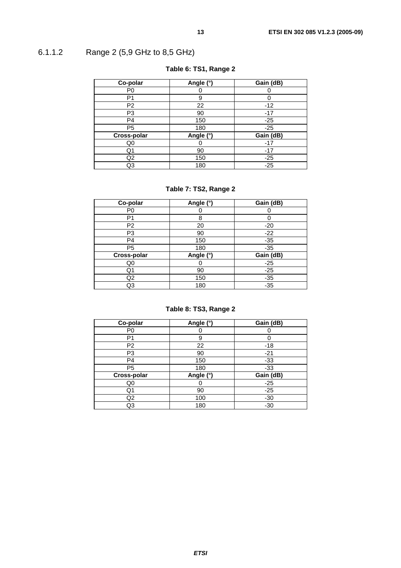# 6.1.1.2 Range 2 (5,9 GHz to 8,5 GHz)

| Co-polar       | Angle (°) | Gain (dB) |
|----------------|-----------|-----------|
| P <sub>0</sub> |           |           |
| P1             | 9         |           |
| P <sub>2</sub> | 22        | $-12$     |
| P <sub>3</sub> | 90        | $-17$     |
| P <sub>4</sub> | 150       | $-25$     |
| P <sub>5</sub> | 180       | $-25$     |
| Cross-polar    | Angle (°) | Gain (dB) |
| Q0             |           | $-17$     |
| Q1             | 90        | $-17$     |
| Q <sub>2</sub> | 150       | $-25$     |
| Q3             | 180       | $-25$     |

### **Table 6: TS1, Range 2**

### **Table 7: TS2, Range 2**

| Co-polar       | Angle (°) | Gain (dB) |
|----------------|-----------|-----------|
| P <sub>0</sub> |           |           |
| P1             | 8         |           |
| P <sub>2</sub> | 20        | $-20$     |
| P <sub>3</sub> | 90        | $-22$     |
| P <sub>4</sub> | 150       | $-35$     |
| P <sub>5</sub> | 180       | $-35$     |
| Cross-polar    | Angle (°) | Gain (dB) |
| Q0             |           | $-25$     |
| Q1             | 90        | $-25$     |
| Q <sub>2</sub> | 150       | $-35$     |
| Q3             | 180       | $-35$     |

### **Table 8: TS3, Range 2**

| Co-polar       | Angle (°) | Gain (dB) |
|----------------|-----------|-----------|
| P <sub>0</sub> |           |           |
| P1             | 9         |           |
| P <sub>2</sub> | 22        | -18       |
| P3             | 90        | $-21$     |
| P <sub>4</sub> | 150       | $-33$     |
| P <sub>5</sub> | 180       | $-33$     |
| Cross-polar    | Angle (°) | Gain (dB) |
| Q0             |           | $-25$     |
| Q1             | 90        | $-25$     |
| Q2             | 100       | $-30$     |
| Q3             | 180       | $-30$     |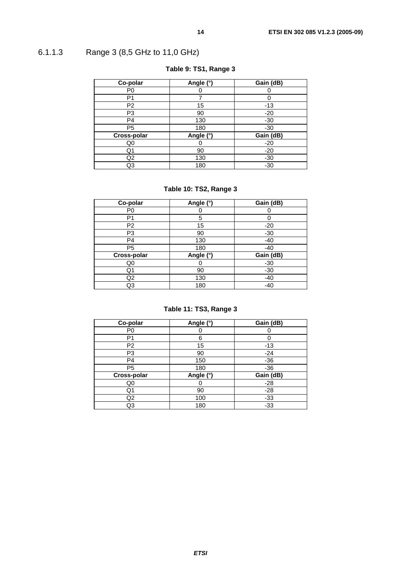# 6.1.1.3 Range 3 (8,5 GHz to 11,0 GHz)

| Co-polar       | Angle (°) | Gain (dB) |
|----------------|-----------|-----------|
| P <sub>0</sub> |           |           |
| P1             |           |           |
| P <sub>2</sub> | 15        | $-13$     |
| P3             | 90        | $-20$     |
| P <sub>4</sub> | 130       | $-30$     |
| P <sub>5</sub> | 180       | $-30$     |
| Cross-polar    | Angle (°) | Gain (dB) |
| Q <sub>0</sub> |           | $-20$     |
| Q1             | 90        | $-20$     |
| Q2             | 130       | $-30$     |
| Q3             | 180       | $-30$     |

### **Table 9: TS1, Range 3**

### **Table 10: TS2, Range 3**

| Co-polar       | Angle (°) | Gain (dB) |
|----------------|-----------|-----------|
| P <sub>0</sub> |           |           |
| P1             | 5         |           |
| P <sub>2</sub> | 15        | $-20$     |
| P <sub>3</sub> | 90        | $-30$     |
| P <sub>4</sub> | 130       | $-40$     |
| P <sub>5</sub> | 180       | -40       |
| Cross-polar    | Angle (°) | Gain (dB) |
| Q0             |           | $-30$     |
| Q1             | 90        | $-30$     |
| Q2             | 130       | $-40$     |
| Q3             | 180       | $-40$     |

### **Table 11: TS3, Range 3**

| Co-polar       | Angle (°) | Gain (dB) |
|----------------|-----------|-----------|
| P <sub>0</sub> |           |           |
| P1             | հ         |           |
| P <sub>2</sub> | 15        | -13       |
| P3             | 90        | $-24$     |
| P <sub>4</sub> | 150       | $-36$     |
| P <sub>5</sub> | 180       | $-36$     |
| Cross-polar    | Angle (°) | Gain (dB) |
| Q0             |           | $-28$     |
| Q1             | 90        | $-28$     |
| Q2             | 100       | $-33$     |
| Q3             | 180       | $-33$     |

**ETSI**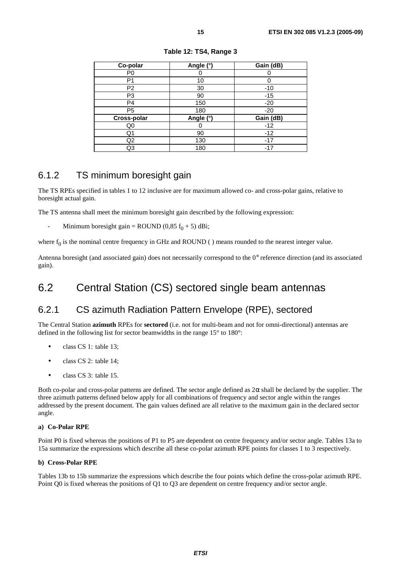| Co-polar       | Angle (°) | Gain (dB) |
|----------------|-----------|-----------|
| P <sub>0</sub> |           |           |
| P1             | 10        |           |
| P <sub>2</sub> | 30        | $-10$     |
| P <sub>3</sub> | 90        | $-15$     |
| P <sub>4</sub> | 150       | $-20$     |
| P <sub>5</sub> | 180       | $-20$     |
| Cross-polar    | Angle (°) | Gain (dB) |
| Q0             |           | $-12$     |
| Q1             | 90        | $-12$     |
| Q <sub>2</sub> | 130       | $-17$     |
| Q3             | 180       | $-17$     |

**Table 12: TS4, Range 3** 

### 6.1.2 TS minimum boresight gain

The TS RPEs specified in tables 1 to 12 inclusive are for maximum allowed co- and cross-polar gains, relative to boresight actual gain.

The TS antenna shall meet the minimum boresight gain described by the following expression:

Minimum boresight gain = ROUND (0,85  $f_0$  + 5) dBi;

where  $f_0$  is the nominal centre frequency in GHz and ROUND ( ) means rounded to the nearest integer value.

Antenna boresight (and associated gain) does not necessarily correspond to the 0° reference direction (and its associated gain).

# 6.2 Central Station (CS) sectored single beam antennas

# 6.2.1 CS azimuth Radiation Pattern Envelope (RPE), sectored

The Central Station **azimuth** RPEs for **sectored** (i.e. not for multi-beam and not for omni-directional) antennas are defined in the following list for sector beamwidths in the range 15° to 180°:

- class CS 1: table 13;
- class CS 2: table 14;
- class CS 3: table 15.

Both co-polar and cross-polar patterns are defined. The sector angle defined as  $2\alpha$  shall be declared by the supplier. The three azimuth patterns defined below apply for all combinations of frequency and sector angle within the ranges addressed by the present document. The gain values defined are all relative to the maximum gain in the declared sector angle.

#### **a) Co-Polar RPE**

Point P0 is fixed whereas the positions of P1 to P5 are dependent on centre frequency and/or sector angle. Tables 13a to 15a summarize the expressions which describe all these co-polar azimuth RPE points for classes 1 to 3 respectively.

#### **b) Cross-Polar RPE**

Tables 13b to 15b summarize the expressions which describe the four points which define the cross-polar azimuth RPE. Point Q0 is fixed whereas the positions of Q1 to Q3 are dependent on centre frequency and/or sector angle.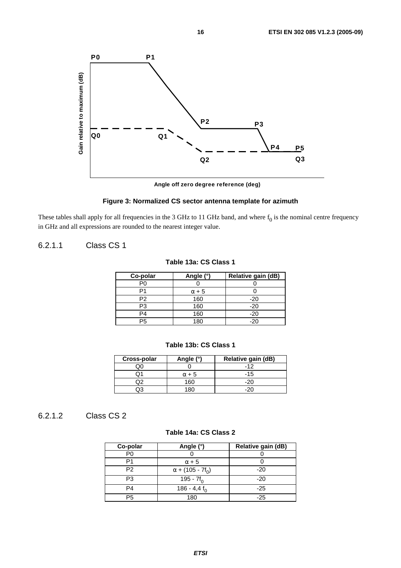

**Angle off zero degree reference (deg)**

#### **Figure 3: Normalized CS sector antenna template for azimuth**

These tables shall apply for all frequencies in the 3 GHz to 11 GHz band, and where  $f_0$  is the nominal centre frequency in GHz and all expressions are rounded to the nearest integer value.

### 6.2.1.1 Class CS 1

### **Table 13a: CS Class 1**

| Co-polar | Angle (°)    | Relative gain (dB) |
|----------|--------------|--------------------|
| P0       |              |                    |
|          | $\alpha + 5$ |                    |
| P2       | 160          | $-20$              |
| P3       | 160          | -20                |
| P4       | 160          | $-20$              |
| Р5       | 180          | -20                |

#### **Table 13b: CS Class 1**

| Cross-polar | Angle (°)    | Relative gain (dB) |
|-------------|--------------|--------------------|
|             |              | -12                |
|             | $\alpha + 5$ | -15                |
|             | 160          |                    |
|             | R(           |                    |

### 6.2.1.2 Class CS 2

#### **Table 14a: CS Class 2**

| Co-polar       | Angle (°)                           | Relative gain (dB) |
|----------------|-------------------------------------|--------------------|
| P0             |                                     |                    |
| P1             | $\alpha + 5$                        |                    |
| P <sub>2</sub> | $\alpha$ + (105 - 7f <sub>0</sub> ) | $-20$              |
| P3             | 195 - $7f_0$                        | $-20$              |
| P4             | 186 - 4,4 $f_0$                     | $-25$              |
| P5             | 180                                 | -25                |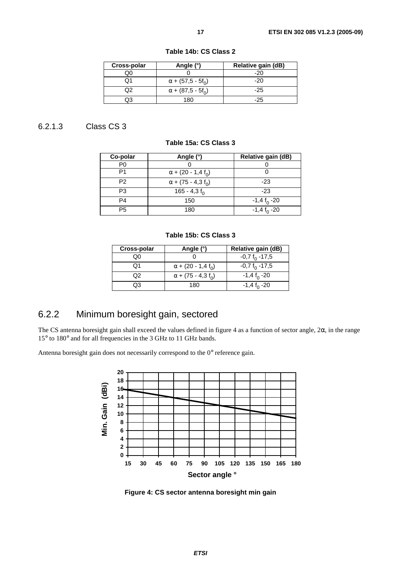| Cross-polar | Angle (°)                            | Relative gain (dB) |
|-------------|--------------------------------------|--------------------|
|             |                                      | -20                |
|             | $\alpha$ + (57,5 - 5f <sub>0</sub> ) | -20                |
|             | $\alpha$ + (87,5 - 5f <sub>0</sub> ) | -25                |
|             | 180                                  | -25                |

**Table 14b: CS Class 2** 

### 6.2.1.3 Class CS 3

#### **Table 15a: CS Class 3**

| Co-polar       | Angle (°)                             | Relative gain (dB)          |
|----------------|---------------------------------------|-----------------------------|
| P <sub>0</sub> |                                       |                             |
| P1             | $\alpha$ + (20 - 1,4 f <sub>0</sub> ) |                             |
| P2             | $\alpha$ + (75 - 4,3 f <sub>0</sub> ) | $-23$                       |
| P <sub>3</sub> | 165 - 4,3 $f_0$                       | $-23$                       |
| P4             | 150                                   | $-1,4$ f <sub>0</sub> $-20$ |
| P <sub>5</sub> | 180                                   | $-1,4$ f <sub>0</sub> $-20$ |

#### **Table 15b: CS Class 3**

| Cross-polar | Angle (°)                             | Relative gain (dB)          |
|-------------|---------------------------------------|-----------------------------|
| OΟ          |                                       | $-0.7 f_0 - 17.5$           |
| Ω1          | $\alpha$ + (20 - 1,4 f <sub>0</sub> ) | $-0.7 f_0 -17.5$            |
| Q2          | $\alpha$ + (75 - 4,3 f <sub>0</sub> ) | $-1,4$ f <sub>0</sub> $-20$ |
| OЗ          | 180                                   | $-1,4$ f <sub>o</sub> $-20$ |

# 6.2.2 Minimum boresight gain, sectored

The CS antenna boresight gain shall exceed the values defined in figure 4 as a function of sector angle, 2α, in the range 15° to 180° and for all frequencies in the 3 GHz to 11 GHz bands.

Antenna boresight gain does not necessarily correspond to the 0° reference gain.



**Figure 4: CS sector antenna boresight min gain**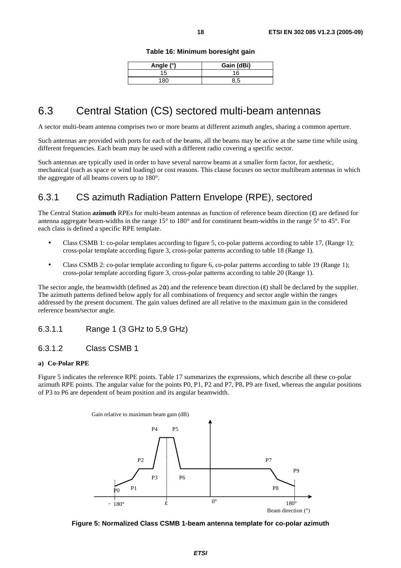#### **Table 16: Minimum boresight gain**

| Angle (°) | Gain (dBi) |
|-----------|------------|
| 15        | 16         |
| 180       |            |

# 6.3 Central Station (CS) sectored multi-beam antennas

A sector multi-beam antenna comprises two or more beams at different azimuth angles, sharing a common aperture.

Such antennas are provided with ports for each of the beams, all the beams may be active at the same time while using different frequencies. Each beam may be used with a different radio covering a specific sector.

Such antennas are typically used in order to have several narrow beams at a smaller form factor, for aesthetic, mechanical (such as space or wind loading) or cost reasons. This clause focuses on sector multibeam antennas in which the aggregate of all beams covers up to 180°.

### 6.3.1 CS azimuth Radiation Pattern Envelope (RPE), sectored

The Central Station **azimuth** RPEs for multi-beam antennas as function of reference beam direction (ε) are defined for antenna aggregate beam-widths in the range 15° to 180° and for constituent beam-widths in the range 5° to 45°. For each class is defined a specific RPE template.

- Class CSMB 1: co-polar templates according to figure 5, co-polar patterns according to table 17, (Range 1); cross-polar template according figure 3, cross-polar patterns according to table 18 (Range 1).
- Class CSMB 2: co-polar template according to figure 6, co-polar patterns according to table 19 (Range 1); cross-polar template according figure 3, cross-polar patterns according to table 20 (Range 1).

The sector angle, the beamwidth (defined as  $2\alpha$ ) and the reference beam direction (ε) shall be declared by the supplier. The azimuth patterns defined below apply for all combinations of frequency and sector angle within the ranges addressed by the present document. The gain values defined are all relative to the maximum gain in the considered reference beam**/**sector angle.

#### 6.3.1.1 Range 1 (3 GHz to 5,9 GHz)

#### 6.3.1.2 Class CSMB 1

#### **a) Co-Polar RPE**

Figure 5 indicates the reference RPE points. Table 17 summarizes the expressions, which describe all these co-polar azimuth RPE points. The angular value for the points P0, P1, P2 and P7, P8, P9 are fixed, whereas the angular positions of P3 to P6 are dependent of beam position and its angular beamwidth.



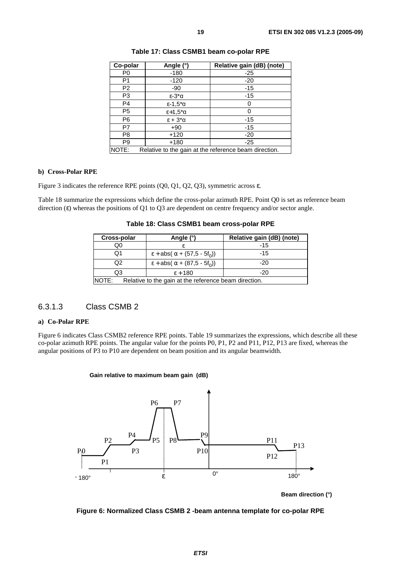| Co-polar       | Angle (°)                             | Relative gain (dB) (note)                             |
|----------------|---------------------------------------|-------------------------------------------------------|
| P <sub>0</sub> | $-180$                                | $-25$                                                 |
| P1             | $-120$                                | $-20$                                                 |
| P <sub>2</sub> | -90                                   | $-15$                                                 |
| P3             | $\epsilon$ -3* $\alpha$               | $-15$                                                 |
| P <sub>4</sub> | $\epsilon$ -1,5 <sup>*</sup> $\alpha$ | O                                                     |
| P <sub>5</sub> | $\epsilon$ +1,5 $\alpha$              | 0                                                     |
| P <sub>6</sub> | $\epsilon + 3^{\star}\alpha$          | $-15$                                                 |
| P7             | $+90$                                 | $-15$                                                 |
| P <sub>8</sub> | $+120$                                | $-20$                                                 |
| P <sub>9</sub> | $+180$                                | $-25$                                                 |
| NOTE:          |                                       | Relative to the gain at the reference beam direction. |

**Table 17: Class CSMB1 beam co-polar RPE** 

#### **b) Cross-Polar RPE**

Figure 3 indicates the reference RPE points (Q0, Q1, Q2, Q3), symmetric across ε.

Table 18 summarize the expressions which define the cross-polar azimuth RPE. Point Q0 is set as reference beam direction (ε) whereas the positions of Q1 to Q3 are dependent on centre frequency and/or sector angle.

**Table 18: Class CSMB1 beam cross-polar RPE** 

| Cross-polar                                                    | Angle (°)                    | Relative gain (dB) (note) |
|----------------------------------------------------------------|------------------------------|---------------------------|
| Q0                                                             |                              | $-15$                     |
| Q1                                                             | $ε + abs(α + (57.5 - 5f_0))$ | $-15$                     |
| O2                                                             | $ε + abs(α + (87.5 - 5f_0))$ | $-20$                     |
| Q3                                                             | $\epsilon$ + 180             | -20                       |
| Relative to the gain at the reference beam direction.<br>NOTE: |                              |                           |
|                                                                |                              |                           |

### 6.3.1.3 Class CSMB 2

#### **a) Co-Polar RPE**

Figure 6 indicates Class CSMB2 reference RPE points. Table 19 summarizes the expressions, which describe all these co-polar azimuth RPE points. The angular value for the points P0, P1, P2 and P11, P12, P13 are fixed, whereas the angular positions of P3 to P10 are dependent on beam position and its angular beamwidth.





**Beam direction (°)**

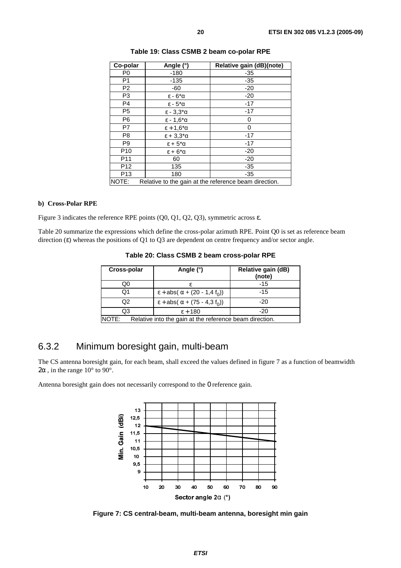| Co-polar        | Angle (°)                            | Relative gain (dB)(note) |
|-----------------|--------------------------------------|--------------------------|
| P <sub>0</sub>  | $-180$                               | -35                      |
| P <sub>1</sub>  | $-135$                               | $-35$                    |
| P <sub>2</sub>  | $-60$                                | $-20$                    |
| P <sub>3</sub>  | $\epsilon$ - 6* $\alpha$             | $-20$                    |
| P <sub>4</sub>  | $\epsilon$ - $5^{\ast}$ α            | $-17$                    |
| P <sub>5</sub>  | $\epsilon$ - 3.3 $\alpha$            | $-17$                    |
| P <sub>6</sub>  | $\epsilon$ - 1,6 $\alpha$            | 0                        |
| P7              | $\epsilon$ + 1.6* $\alpha$           | 0                        |
| P <sub>8</sub>  | $\epsilon$ + 3.3* $\alpha$           | $-17$                    |
| P <sub>9</sub>  | $\epsilon$ + 5 <sup>*</sup> $\alpha$ | $-17$                    |
| P <sub>10</sub> | $\epsilon$ + 6 <sup>*</sup> $\alpha$ | $-20$                    |
| P11             | 60                                   | $-20$                    |
| P <sub>12</sub> | 135                                  | $-35$                    |
| P <sub>13</sub> | 180                                  | -35                      |

**Table 19: Class CSMB 2 beam co-polar RPE** 

#### **b) Cross-Polar RPE**

Figure 3 indicates the reference RPE points (Q0, Q1, Q2, Q3), symmetric across ε.

Table 20 summarize the expressions which define the cross-polar azimuth RPE. Point Q0 is set as reference beam direction (ε) whereas the positions of Q1 to Q3 are dependent on centre frequency and/or sector angle.

NOTE: Relative to the gain at the reference beam direction.

|  |  |  | Table 20: Class CSMB 2 beam cross-polar RPE |
|--|--|--|---------------------------------------------|
|--|--|--|---------------------------------------------|

| Cross-polar                                                      | Angle (°)                                                | Relative gain (dB)<br>(note) |
|------------------------------------------------------------------|----------------------------------------------------------|------------------------------|
| Q0                                                               |                                                          | $-15$                        |
| Q1                                                               | $\epsilon$ + abs( $\alpha$ + (20 - 1,4 f <sub>0</sub> )) | $-15$                        |
| Q2                                                               | $ε + abs(α + (75 - 4, 3 f_0))$                           | $-20$                        |
| Q3                                                               | $\epsilon$ + 180                                         | -20                          |
| NOTE:<br>Relative into the gain at the reference beam direction. |                                                          |                              |

### 6.3.2 Minimum boresight gain, multi-beam

The CS antenna boresight gain, for each beam, shall exceed the values defined in figure 7 as a function of beamwidth  $2\alpha$ , in the range 10° to 90°.

Antenna boresight gain does not necessarily correspond to the 0 reference gain.



**Figure 7: CS central-beam, multi-beam antenna, boresight min gain**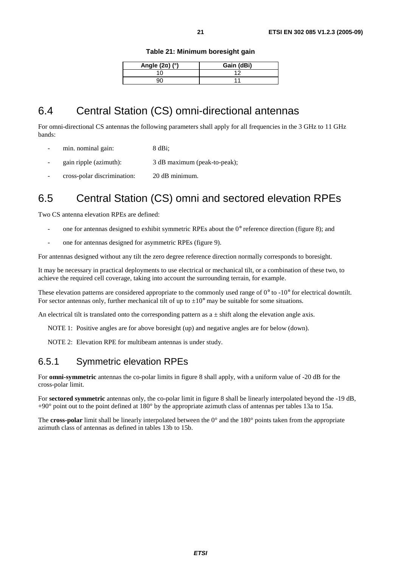|  |  | Table 21: Minimum boresight gain |  |
|--|--|----------------------------------|--|
|--|--|----------------------------------|--|

| Angle $(2\alpha)$ (°) | Gain (dBi) |
|-----------------------|------------|
|                       |            |
|                       |            |

# 6.4 Central Station (CS) omni-directional antennas

For omni-directional CS antennas the following parameters shall apply for all frequencies in the 3 GHz to 11 GHz bands:

- min. nominal gain: 8 dBi;
- gain ripple (azimuth): 3 dB maximum (peak-to-peak);
- cross-polar discrimination: 20 dB minimum.

# 6.5 Central Station (CS) omni and sectored elevation RPEs

Two CS antenna elevation RPEs are defined:

- one for antennas designed to exhibit symmetric RPEs about the  $0^{\circ}$  reference direction (figure 8); and
- one for antennas designed for asymmetric RPEs (figure 9).

For antennas designed without any tilt the zero degree reference direction normally corresponds to boresight.

It may be necessary in practical deployments to use electrical or mechanical tilt, or a combination of these two, to achieve the required cell coverage, taking into account the surrounding terrain, for example.

These elevation patterns are considered appropriate to the commonly used range of 0° to -10° for electrical downtilt. For sector antennas only, further mechanical tilt of up to  $\pm 10^{\circ}$  may be suitable for some situations.

An electrical tilt is translated onto the corresponding pattern as  $a \pm$  shift along the elevation angle axis.

NOTE 1: Positive angles are for above boresight (up) and negative angles are for below (down).

NOTE 2: Elevation RPE for multibeam antennas is under study.

### 6.5.1 Symmetric elevation RPEs

For **omni-symmetric** antennas the co-polar limits in figure 8 shall apply, with a uniform value of -20 dB for the cross-polar limit.

For **sectored symmetric** antennas only, the co-polar limit in figure 8 shall be linearly interpolated beyond the -19 dB, +90° point out to the point defined at 180° by the appropriate azimuth class of antennas per tables 13a to 15a.

The **cross-polar** limit shall be linearly interpolated between the 0° and the 180° points taken from the appropriate azimuth class of antennas as defined in tables 13b to 15b.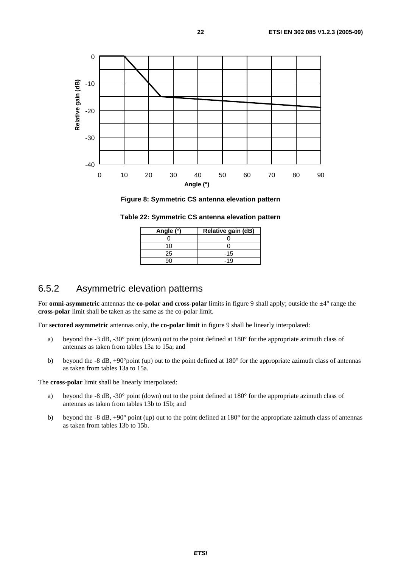

**Figure 8: Symmetric CS antenna elevation pattern** 

**Table 22: Symmetric CS antenna elevation pattern** 

| Angle (°) | Relative gain (dB) |
|-----------|--------------------|
|           |                    |
| 10        |                    |
| 25        | $-15$              |
|           | -19                |

### 6.5.2 Asymmetric elevation patterns

For **omni-asymmetric** antennas the **co-polar and cross-polar** limits in figure 9 shall apply; outside the  $\pm 4^{\circ}$  range the **cross-polar** limit shall be taken as the same as the co-polar limit.

For **sectored asymmetric** antennas only, the **co-polar limit** in figure 9 shall be linearly interpolated:

- a) beyond the -3 dB, -30° point (down) out to the point defined at 180° for the appropriate azimuth class of antennas as taken from tables 13a to 15a; and
- b) beyond the -8 dB, +90°point (up) out to the point defined at 180° for the appropriate azimuth class of antennas as taken from tables 13a to 15a.

The **cross-polar** limit shall be linearly interpolated:

- a) beyond the -8 dB, -30° point (down) out to the point defined at 180° for the appropriate azimuth class of antennas as taken from tables 13b to 15b; and
- b) beyond the -8 dB, +90° point (up) out to the point defined at 180° for the appropriate azimuth class of antennas as taken from tables 13b to 15b.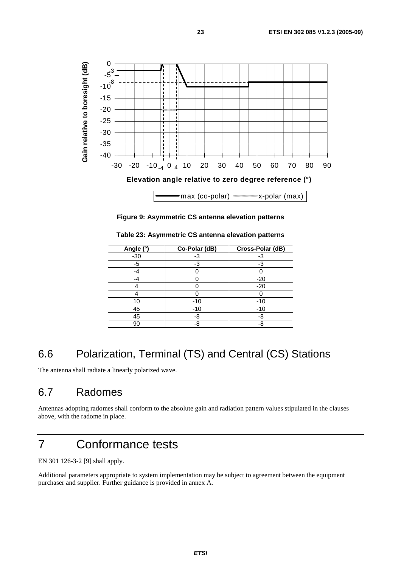

**Figure 9: Asymmetric CS antenna elevation patterns** 

| Angle (°) | Co-Polar (dB) | Cross-Polar (dB) |
|-----------|---------------|------------------|
| $-30$     | -3            |                  |
| $-5$      | -3            | -3               |
| -4        |               |                  |
| -4        |               | $-20$            |
|           |               | $-20$            |
|           |               |                  |
| 10        | $-10$         | $-10$            |
| 45        | $-10$         | $-10$            |
| 45        | -8            | -8               |
| 90        | -8            | -8               |

**Table 23: Asymmetric CS antenna elevation patterns** 

# 6.6 Polarization, Terminal (TS) and Central (CS) Stations

The antenna shall radiate a linearly polarized wave.

# 6.7 Radomes

Antennas adopting radomes shall conform to the absolute gain and radiation pattern values stipulated in the clauses above, with the radome in place.

# 7 Conformance tests

EN 301 126-3-2 [9] shall apply.

Additional parameters appropriate to system implementation may be subject to agreement between the equipment purchaser and supplier. Further guidance is provided in annex A.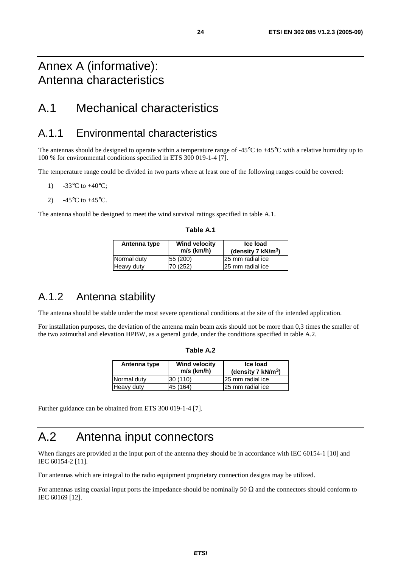# Annex A (informative): Antenna characteristics

# A.1 Mechanical characteristics

## A.1.1 Environmental characteristics

The antennas should be designed to operate within a temperature range of  $-45^{\circ}\text{C}$  to  $+45^{\circ}\text{C}$  with a relative humidity up to 100 % for environmental conditions specified in ETS 300 019-1-4 [7].

The temperature range could be divided in two parts where at least one of the following ranges could be covered:

- 1)  $-33^{\circ}$ C to  $+40^{\circ}$ C;
- 2)  $-45^{\circ}$ C to  $+45^{\circ}$ C.

The antenna should be designed to meet the wind survival ratings specified in table A.1.

| Antenna type | <b>Wind velocity</b><br>$m/s$ (km/h) | Ice load<br>(density $7 \text{ kN/m}^3$ ) |
|--------------|--------------------------------------|-------------------------------------------|
| Normal duty  | 55 (200)                             | 25 mm radial ice                          |
| Heavy duty   | 70 (252)                             | 25 mm radial ice                          |

A.1.2 Antenna stability

The antenna should be stable under the most severe operational conditions at the site of the intended application.

For installation purposes, the deviation of the antenna main beam axis should not be more than 0,3 times the smaller of the two azimuthal and elevation HPBW, as a general guide, under the conditions specified in table A.2.

| Antenna type | <b>Wind velocity</b><br>$m/s$ (km/h) | Ice load<br>(density 7 $kN/m^3$ ) |
|--------------|--------------------------------------|-----------------------------------|
| Normal duty  | 30 (110)                             | 25 mm radial ice                  |
| Heavy duty   | 45 (164)                             | 25 mm radial ice                  |

**Table A.2** 

Further guidance can be obtained from ETS 300 019-1-4 [7].

# A.2 Antenna input connectors

When flanges are provided at the input port of the antenna they should be in accordance with IEC 60154-1 [10] and IEC 60154-2 [11].

For antennas which are integral to the radio equipment proprietary connection designs may be utilized.

For antennas using coaxial input ports the impedance should be nominally 50  $\Omega$  and the connectors should conform to IEC 60169 [12].

### **Table A.1**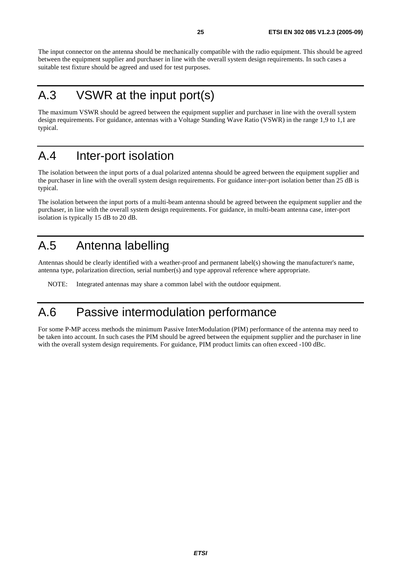The input connector on the antenna should be mechanically compatible with the radio equipment. This should be agreed between the equipment supplier and purchaser in line with the overall system design requirements. In such cases a suitable test fixture should be agreed and used for test purposes.

# A.3 VSWR at the input port(s)

The maximum VSWR should be agreed between the equipment supplier and purchaser in line with the overall system design requirements. For guidance, antennas with a Voltage Standing Wave Ratio (VSWR) in the range 1,9 to 1,1 are typical.

# A.4 Inter-port isoIation

The isolation between the input ports of a dual polarized antenna should be agreed between the equipment supplier and the purchaser in line with the overall system design requirements. For guidance inter-port isolation better than 25 dB is typical.

The isolation between the input ports of a multi-beam antenna should be agreed between the equipment supplier and the purchaser, in line with the overall system design requirements. For guidance, in multi-beam antenna case, inter-port isolation is typically 15 dB to 20 dB.

# A.5 Antenna labelling

Antennas should be clearly identified with a weather-proof and permanent label(s) showing the manufacturer's name, antenna type, polarization direction, serial number(s) and type approval reference where appropriate.

NOTE: Integrated antennas may share a common label with the outdoor equipment.

# A.6 Passive intermodulation performance

For some P-MP access methods the minimum Passive InterModulation (PIM) performance of the antenna may need to be taken into account. In such cases the PIM should be agreed between the equipment supplier and the purchaser in line with the overall system design requirements. For guidance, PIM product limits can often exceed -100 dBc.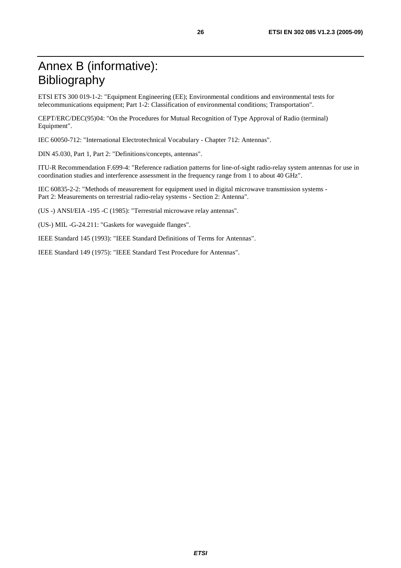# Annex B (informative): Bibliography

ETSI ETS 300 019-1-2: "Equipment Engineering (EE); Environmental conditions and environmental tests for telecommunications equipment; Part 1-2: Classification of environmental conditions; Transportation".

CEPT/ERC/DEC(95)04: "On the Procedures for Mutual Recognition of Type Approval of Radio (terminal) Equipment".

IEC 60050-712: "International Electrotechnical Vocabulary - Chapter 712: Antennas".

DIN 45.030, Part 1, Part 2: "Definitions/concepts, antennas".

ITU-R Recommendation F.699-4: "Reference radiation patterns for line-of-sight radio-relay system antennas for use in coordination studies and interference assessment in the frequency range from 1 to about 40 GHz".

IEC 60835-2-2: "Methods of measurement for equipment used in digital microwave transmission systems - Part 2: Measurements on terrestrial radio-relay systems - Section 2: Antenna".

(US -) ANSI/EIA -195 -C (1985): "Terrestrial microwave relay antennas".

(US-) MIL -G-24.211: "Gaskets for waveguide flanges".

IEEE Standard 145 (1993): "IEEE Standard Definitions of Terms for Antennas".

IEEE Standard 149 (1975): "IEEE Standard Test Procedure for Antennas".